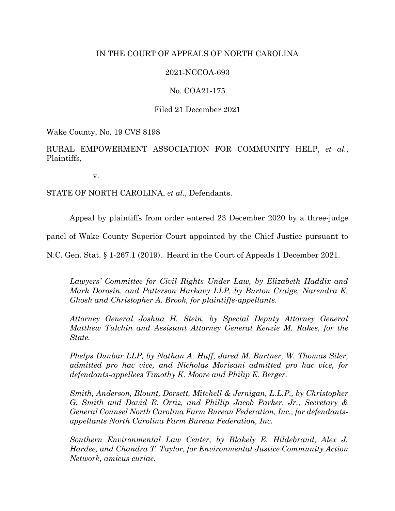# IN THE COURT OF APPEALS OF NORTH CAROLINA

# 2021-NCCOA-693

# No. COA21-175

# Filed 21 December 2021

Wake County, No. 19 CVS 8198

RURAL EMPOWERMENT ASSOCIATION FOR COMMUNITY HELP, *et al.*, Plaintiffs,

v.

STATE OF NORTH CAROLINA, *et al.*, Defendants.

Appeal by plaintiffs from order entered 23 December 2020 by a three-judge

panel of Wake County Superior Court appointed by the Chief Justice pursuant to

N.C. Gen. Stat. § 1-267.1 (2019). Heard in the Court of Appeals 1 December 2021.

*Lawyers' Committee for Civil Rights Under Law, by Elizabeth Haddix and Mark Dorosin, and Patterson Harkavy LLP, by Burton Craige, Narendra K. Ghosh and Christopher A. Brook, for plaintiffs-appellants.*

*Attorney General Joshua H. Stein, by Special Deputy Attorney General Matthew Tulchin and Assistant Attorney General Kenzie M. Rakes, for the State.*

*Phelps Dunbar LLP, by Nathan A. Huff, Jared M. Burtner, W. Thomas Siler, admitted pro hac vice, and Nicholas Morisani admitted pro hac vice, for defendants-appellees Timothy K. Moore and Philip E. Berger.*

*Smith, Anderson, Blount, Dorsett, Mitchell & Jernigan, L.L.P., by Christopher G. Smith and David R. Ortiz, and Phillip Jacob Parker, Jr., Secretary & General Counsel North Carolina Farm Bureau Federation, Inc., for defendantsappellants North Carolina Farm Bureau Federation, Inc.*

*Southern Environmental Law Center, by Blakely E. Hildebrand, Alex J. Hardee, and Chandra T. Taylor, for Environmental Justice Community Action Network, amicus curiae.*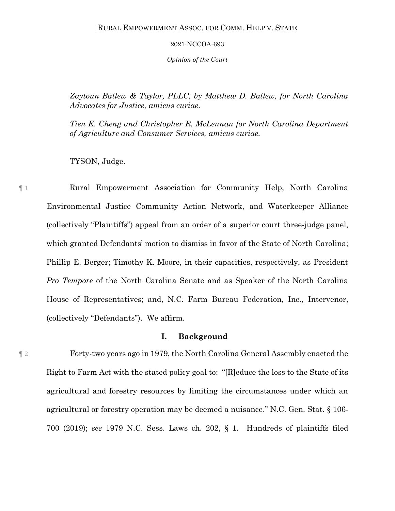*Opinion of the Court*

*Zaytoun Ballew & Taylor, PLLC, by Matthew D. Ballew, for North Carolina Advocates for Justice, amicus curiae.*

*Tien K. Cheng and Christopher R. McLennan for North Carolina Department of Agriculture and Consumer Services, amicus curiae.*

TYSON, Judge.

¶ 1 Rural Empowerment Association for Community Help, North Carolina Environmental Justice Community Action Network, and Waterkeeper Alliance (collectively "Plaintiffs") appeal from an order of a superior court three-judge panel, which granted Defendants' motion to dismiss in favor of the State of North Carolina; Phillip E. Berger; Timothy K. Moore, in their capacities, respectively, as President *Pro Tempore* of the North Carolina Senate and as Speaker of the North Carolina House of Representatives; and, N.C. Farm Bureau Federation, Inc., Intervenor, (collectively "Defendants"). We affirm.

## **I. Background**

¶ 2 Forty-two years ago in 1979, the North Carolina General Assembly enacted the Right to Farm Act with the stated policy goal to: "[R]educe the loss to the State of its agricultural and forestry resources by limiting the circumstances under which an agricultural or forestry operation may be deemed a nuisance." N.C. Gen. Stat. § 106- 700 (2019); *see* 1979 N.C. Sess. Laws ch. 202, § 1. Hundreds of plaintiffs filed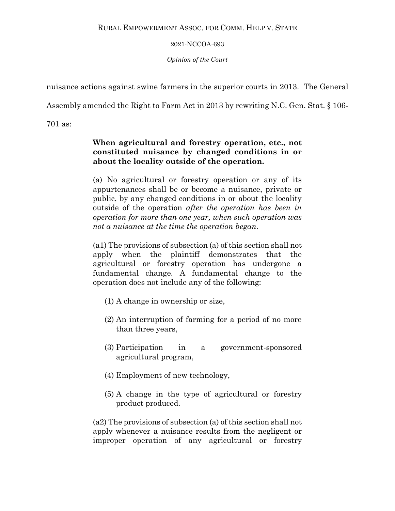*Opinion of the Court*

nuisance actions against swine farmers in the superior courts in 2013. The General

Assembly amended the Right to Farm Act in 2013 by rewriting N.C. Gen. Stat. § 106-

701 as:

# **When agricultural and forestry operation, etc., not constituted nuisance by changed conditions in or about the locality outside of the operation.**

(a) No agricultural or forestry operation or any of its appurtenances shall be or become a nuisance, private or public, by any changed conditions in or about the locality outside of the operation *after the operation has been in operation for more than one year, when such operation was not a nuisance at the time the operation began.* 

(a1) The provisions of subsection (a) of this section shall not apply when the plaintiff demonstrates that the agricultural or forestry operation has undergone a fundamental change. A fundamental change to the operation does not include any of the following:

- (1) A change in ownership or size,
- (2) An interruption of farming for a period of no more than three years,
- (3) Participation in a government-sponsored agricultural program,
- (4) Employment of new technology,
- (5) A change in the type of agricultural or forestry product produced.

(a2) The provisions of subsection (a) of this section shall not apply whenever a nuisance results from the negligent or improper operation of any agricultural or forestry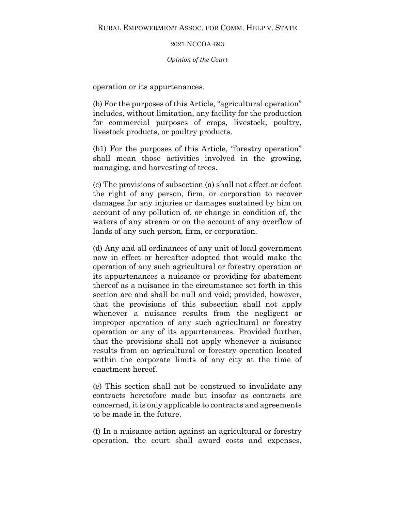## *Opinion of the Court*

operation or its appurtenances.

(b) For the purposes of this Article, "agricultural operation" includes, without limitation, any facility for the production for commercial purposes of crops, livestock, poultry, livestock products, or poultry products.

(b1) For the purposes of this Article, "forestry operation" shall mean those activities involved in the growing, managing, and harvesting of trees.

(c) The provisions of subsection (a) shall not affect or defeat the right of any person, firm, or corporation to recover damages for any injuries or damages sustained by him on account of any pollution of, or change in condition of, the waters of any stream or on the account of any overflow of lands of any such person, firm, or corporation.

(d) Any and all ordinances of any unit of local government now in effect or hereafter adopted that would make the operation of any such agricultural or forestry operation or its appurtenances a nuisance or providing for abatement thereof as a nuisance in the circumstance set forth in this section are and shall be null and void; provided, however, that the provisions of this subsection shall not apply whenever a nuisance results from the negligent or improper operation of any such agricultural or forestry operation or any of its appurtenances. Provided further, that the provisions shall not apply whenever a nuisance results from an agricultural or forestry operation located within the corporate limits of any city at the time of enactment hereof.

(e) This section shall not be construed to invalidate any contracts heretofore made but insofar as contracts are concerned, it is only applicable to contracts and agreements to be made in the future.

(f) In a nuisance action against an agricultural or forestry operation, the court shall award costs and expenses,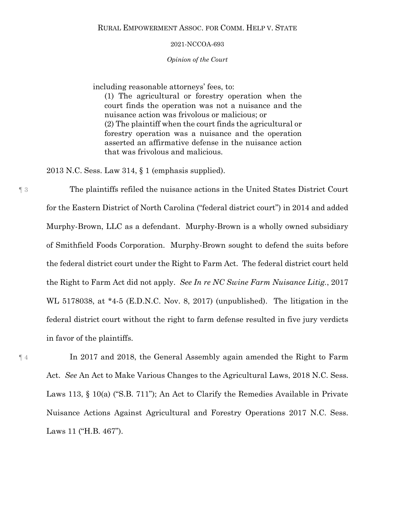### *Opinion of the Court*

including reasonable attorneys' fees, to:

(1) The agricultural or forestry operation when the court finds the operation was not a nuisance and the nuisance action was frivolous or malicious; or (2) The plaintiff when the court finds the agricultural or forestry operation was a nuisance and the operation asserted an affirmative defense in the nuisance action that was frivolous and malicious.

2013 N.C. Sess. Law 314, § 1 (emphasis supplied).

¶ 3 The plaintiffs refiled the nuisance actions in the United States District Court for the Eastern District of North Carolina ("federal district court") in 2014 and added Murphy-Brown, LLC as a defendant. Murphy-Brown is a wholly owned subsidiary of Smithfield Foods Corporation. Murphy-Brown sought to defend the suits before the federal district court under the Right to Farm Act. The federal district court held the Right to Farm Act did not apply. *See In re NC Swine Farm Nuisance Litig.*, 2017 WL 5178038, at \*4-5 (E.D.N.C. Nov. 8, 2017) (unpublished). The litigation in the federal district court without the right to farm defense resulted in five jury verdicts in favor of the plaintiffs.

¶ 4 In 2017 and 2018, the General Assembly again amended the Right to Farm Act. *See* An Act to Make Various Changes to the Agricultural Laws, 2018 N.C. Sess. Laws 113, § 10(a) ("S.B. 711"); An Act to Clarify the Remedies Available in Private Nuisance Actions Against Agricultural and Forestry Operations 2017 N.C. Sess. Laws 11 ("H.B. 467").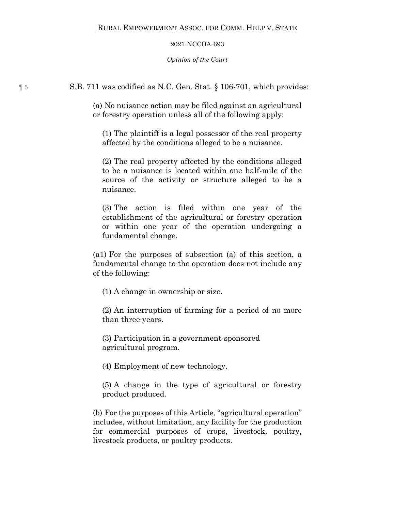*Opinion of the Court*

¶ 5 S.B. 711 was codified as N.C. Gen. Stat. § 106-701, which provides:

(a) No nuisance action may be filed against an agricultural or forestry operation unless all of the following apply:

(1) The plaintiff is a legal possessor of the real property affected by the conditions alleged to be a nuisance.

(2) The real property affected by the conditions alleged to be a nuisance is located within one half-mile of the source of the activity or structure alleged to be a nuisance.

(3) The action is filed within one year of the establishment of the agricultural or forestry operation or within one year of the operation undergoing a fundamental change.

(a1) For the purposes of subsection (a) of this section, a fundamental change to the operation does not include any of the following:

(1) A change in ownership or size.

(2) An interruption of farming for a period of no more than three years.

(3) Participation in a government-sponsored agricultural program.

(4) Employment of new technology.

(5) A change in the type of agricultural or forestry product produced.

(b) For the purposes of this Article, "agricultural operation" includes, without limitation, any facility for the production for commercial purposes of crops, livestock, poultry, livestock products, or poultry products.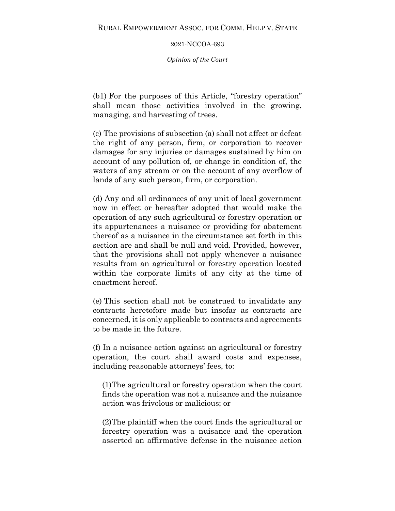*Opinion of the Court*

(b1) For the purposes of this Article, "forestry operation" shall mean those activities involved in the growing, managing, and harvesting of trees.

(c) The provisions of subsection (a) shall not affect or defeat the right of any person, firm, or corporation to recover damages for any injuries or damages sustained by him on account of any pollution of, or change in condition of, the waters of any stream or on the account of any overflow of lands of any such person, firm, or corporation.

(d) Any and all ordinances of any unit of local government now in effect or hereafter adopted that would make the operation of any such agricultural or forestry operation or its appurtenances a nuisance or providing for abatement thereof as a nuisance in the circumstance set forth in this section are and shall be null and void. Provided, however, that the provisions shall not apply whenever a nuisance results from an agricultural or forestry operation located within the corporate limits of any city at the time of enactment hereof.

(e) This section shall not be construed to invalidate any contracts heretofore made but insofar as contracts are concerned, it is only applicable to contracts and agreements to be made in the future.

(f) In a nuisance action against an agricultural or forestry operation, the court shall award costs and expenses, including reasonable attorneys' fees, to:

(1)The agricultural or forestry operation when the court finds the operation was not a nuisance and the nuisance action was frivolous or malicious; or

(2)The plaintiff when the court finds the agricultural or forestry operation was a nuisance and the operation asserted an affirmative defense in the nuisance action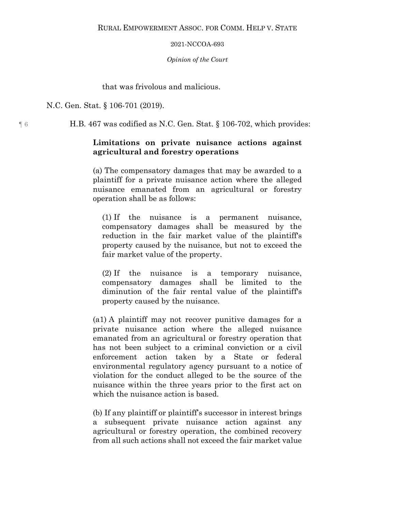*Opinion of the Court*

## that was frivolous and malicious.

N.C. Gen. Stat. § 106-701 (2019).

¶ 6 H.B. 467 was codified as N.C. Gen. Stat. § 106-702, which provides:

# **Limitations on private nuisance actions against agricultural and forestry operations**

(a) The compensatory damages that may be awarded to a plaintiff for a private nuisance action where the alleged nuisance emanated from an agricultural or forestry operation shall be as follows:

(1) If the nuisance is a permanent nuisance, compensatory damages shall be measured by the reduction in the fair market value of the plaintiff's property caused by the nuisance, but not to exceed the fair market value of the property.

(2) If the nuisance is a temporary nuisance, compensatory damages shall be limited to the diminution of the fair rental value of the plaintiff's property caused by the nuisance.

(a1) A plaintiff may not recover punitive damages for a private nuisance action where the alleged nuisance emanated from an agricultural or forestry operation that has not been subject to a criminal conviction or a civil enforcement action taken by a State or federal environmental regulatory agency pursuant to a notice of violation for the conduct alleged to be the source of the nuisance within the three years prior to the first act on which the nuisance action is based.

(b) If any plaintiff or plaintiff's successor in interest brings a subsequent private nuisance action against any agricultural or forestry operation, the combined recovery from all such actions shall not exceed the fair market value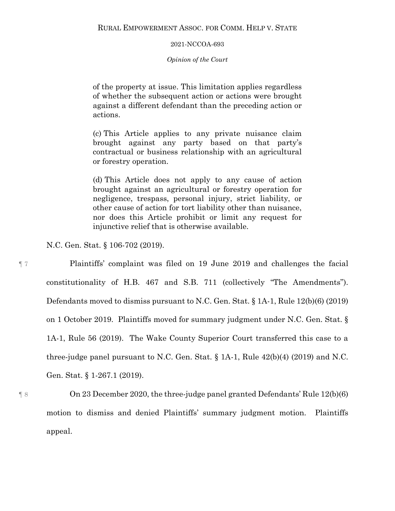## *Opinion of the Court*

of the property at issue. This limitation applies regardless of whether the subsequent action or actions were brought against a different defendant than the preceding action or actions.

(c) This Article applies to any private nuisance claim brought against any party based on that party's contractual or business relationship with an agricultural or forestry operation.

(d) This Article does not apply to any cause of action brought against an agricultural or forestry operation for negligence, trespass, personal injury, strict liability, or other cause of action for tort liability other than nuisance, nor does this Article prohibit or limit any request for injunctive relief that is otherwise available.

N.C. Gen. Stat. § 106-702 (2019).

¶ 7 Plaintiffs' complaint was filed on 19 June 2019 and challenges the facial constitutionality of H.B. 467 and S.B. 711 (collectively "The Amendments"). Defendants moved to dismiss pursuant to N.C. Gen. Stat. § 1A-1, Rule 12(b)(6) (2019) on 1 October 2019. Plaintiffs moved for summary judgment under N.C. Gen. Stat. § 1A-1, Rule 56 (2019). The Wake County Superior Court transferred this case to a three-judge panel pursuant to N.C. Gen. Stat. § 1A-1, Rule 42(b)(4) (2019) and N.C. Gen. Stat. § 1-267.1 (2019).

¶ 8 On 23 December 2020, the three-judge panel granted Defendants' Rule 12(b)(6) motion to dismiss and denied Plaintiffs' summary judgment motion.Plaintiffs appeal.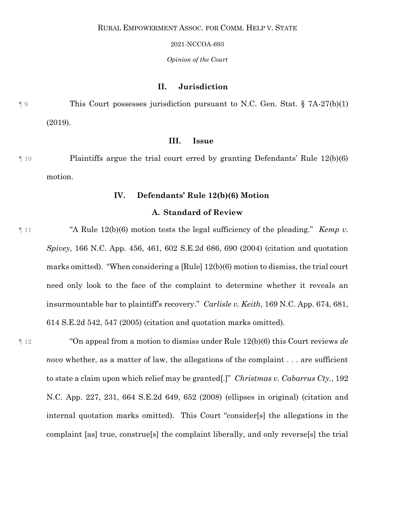### *Opinion of the Court*

## **II. Jurisdiction**

¶ 9 This Court possesses jurisdiction pursuant to N.C. Gen. Stat. § 7A-27(b)(1) (2019).

## **III. Issue**

¶ 10 Plaintiffs argue the trial court erred by granting Defendants' Rule 12(b)(6) motion.

## **IV. Defendants' Rule 12(b)(6) Motion**

## **A. Standard of Review**

¶ 11 "A Rule 12(b)(6) motion tests the legal sufficiency of the pleading." *Kemp v. Spivey*, 166 N.C. App. 456, 461, 602 S.E.2d 686, 690 (2004) (citation and quotation marks omitted). "When considering a [Rule] 12(b)(6) motion to dismiss, the trial court need only look to the face of the complaint to determine whether it reveals an insurmountable bar to plaintiff's recovery." *Carlisle v. Keith*, 169 N.C. App. 674, 681, 614 S.E.2d 542, 547 (2005) (citation and quotation marks omitted).

¶ 12 "On appeal from a motion to dismiss under Rule 12(b)(6) this Court reviews *de novo* whether, as a matter of law, the allegations of the complaint . . . are sufficient to state a claim upon which relief may be granted[.]" *Christmas v. Cabarrus Cty.*, 192 N.C. App. 227, 231, 664 S.E.2d 649, 652 (2008) (ellipses in original) (citation and internal quotation marks omitted). This Court "consider[s] the allegations in the complaint [as] true, construe[s] the complaint liberally, and only reverse[s] the trial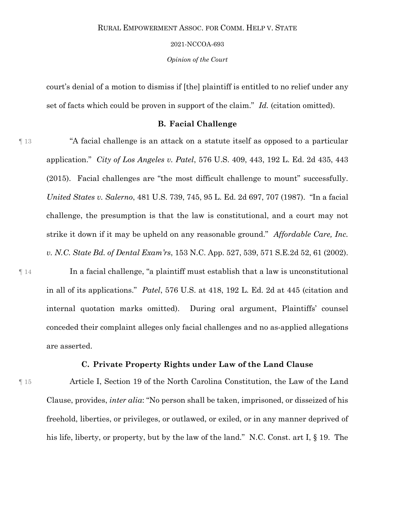#### 2021-NCCOA-693

*Opinion of the Court*

court's denial of a motion to dismiss if [the] plaintiff is entitled to no relief under any set of facts which could be proven in support of the claim." *Id.* (citation omitted).

## **B. Facial Challenge**

¶ 13 "A facial challenge is an attack on a statute itself as opposed to a particular application." *City of Los Angeles v. Patel*, 576 U.S. 409, 443, 192 L. Ed. 2d 435, 443 (2015). Facial challenges are "the most difficult challenge to mount" successfully. *United States v. Salerno*, 481 U.S. 739, 745, 95 L. Ed. 2d 697, 707 (1987). "In a facial challenge, the presumption is that the law is constitutional, and a court may not strike it down if it may be upheld on any reasonable ground." *Affordable Care, Inc. v. N.C. State Bd. of Dental Exam'rs*, 153 N.C. App. 527, 539, 571 S.E.2d 52, 61 (2002).

¶ 14 In a facial challenge, "a plaintiff must establish that a law is unconstitutional in all of its applications." *Patel*, 576 U.S. at 418, 192 L. Ed. 2d at 445 (citation and internal quotation marks omitted). During oral argument, Plaintiffs' counsel conceded their complaint alleges only facial challenges and no as-applied allegations are asserted.

## **C. Private Property Rights under Law of the Land Clause**

¶ 15 Article I, Section 19 of the North Carolina Constitution, the Law of the Land Clause, provides, *inter alia*: "No person shall be taken, imprisoned, or disseized of his freehold, liberties, or privileges, or outlawed, or exiled, or in any manner deprived of his life, liberty, or property, but by the law of the land." N.C. Const. art I,  $\S$  19. The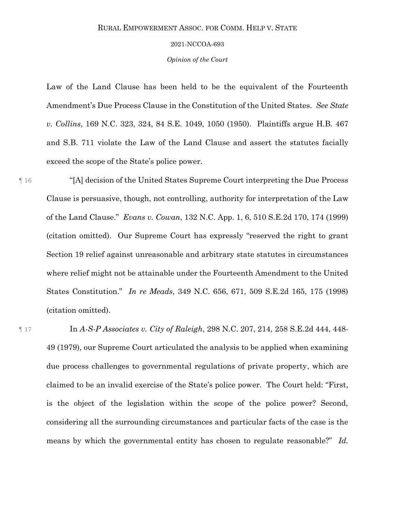#### 2021-NCCOA-693

*Opinion of the Court*

Law of the Land Clause has been held to be the equivalent of the Fourteenth Amendment's Due Process Clause in the Constitution of the United States. *See State v. Collins*, 169 N.C. 323, 324, 84 S.E. 1049, 1050 (1950). Plaintiffs argue H.B. 467 and S.B. 711 violate the Law of the Land Clause and assert the statutes facially exceed the scope of the State's police power.

¶ 16 "[A] decision of the United States Supreme Court interpreting the Due Process Clause is persuasive, though, not controlling, authority for interpretation of the Law of the Land Clause." *Evans v. Cowan*, 132 N.C. App. 1, 6, 510 S.E.2d 170, 174 (1999) (citation omitted). Our Supreme Court has expressly "reserved the right to grant Section 19 relief against unreasonable and arbitrary state statutes in circumstances where relief might not be attainable under the Fourteenth Amendment to the United States Constitution." *In re Meads*, 349 N.C. 656, 671, 509 S.E.2d 165, 175 (1998) (citation omitted).

¶ 17 In *A-S-P Associates v. City of Raleigh*, 298 N.C. 207, 214, 258 S.E.2d 444, 448- 49 (1979), our Supreme Court articulated the analysis to be applied when examining due process challenges to governmental regulations of private property, which are claimed to be an invalid exercise of the State's police power. The Court held: "First, is the object of the legislation within the scope of the police power? Second, considering all the surrounding circumstances and particular facts of the case is the means by which the governmental entity has chosen to regulate reasonable?" *Id.*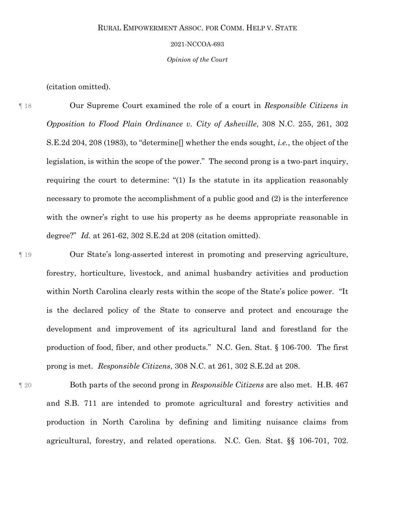#### 2021-NCCOA-693

*Opinion of the Court*

(citation omitted).

¶ 18 Our Supreme Court examined the role of a court in *Responsible Citizens in Opposition to Flood Plain Ordinance v. City of Asheville*, 308 N.C. 255, 261, 302 S.E.2d 204, 208 (1983), to "determine[] whether the ends sought, *i.e.*, the object of the legislation, is within the scope of the power." The second prong is a two-part inquiry, requiring the court to determine: "(1) Is the statute in its application reasonably necessary to promote the accomplishment of a public good and (2) is the interference with the owner's right to use his property as he deems appropriate reasonable in degree?" *Id.* at 261-62, 302 S.E.2d at 208 (citation omitted).

¶ 19 Our State's long-asserted interest in promoting and preserving agriculture, forestry, horticulture, livestock, and animal husbandry activities and production within North Carolina clearly rests within the scope of the State's police power. "It is the declared policy of the State to conserve and protect and encourage the development and improvement of its agricultural land and forestland for the production of food, fiber, and other products." N.C. Gen. Stat. § 106-700. The first prong is met. *Responsible Citizens*, 308 N.C. at 261, 302 S.E.2d at 208.

¶ 20 Both parts of the second prong in *Responsible Citizens* are also met. H.B. 467 and S.B. 711 are intended to promote agricultural and forestry activities and production in North Carolina by defining and limiting nuisance claims from agricultural, forestry, and related operations. N.C. Gen. Stat. §§ 106-701, 702.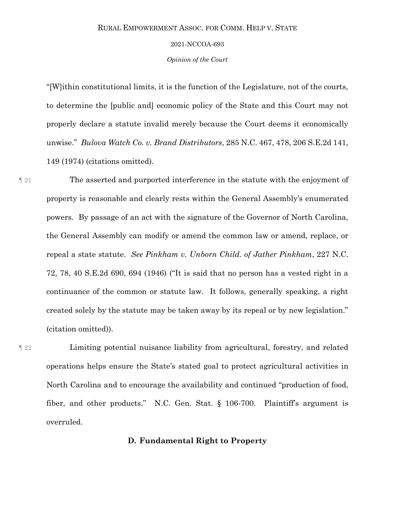#### 2021-NCCOA-693

*Opinion of the Court*

"[W]ithin constitutional limits, it is the function of the Legislature, not of the courts, to determine the [public and] economic policy of the State and this Court may not properly declare a statute invalid merely because the Court deems it economically unwise." *Bulova Watch Co. v. Brand Distributors*, 285 N.C. 467, 478, 206 S.E.2d 141, 149 (1974) (citations omitted).

¶ 21 The asserted and purported interference in the statute with the enjoyment of property is reasonable and clearly rests within the General Assembly's enumerated powers. By passage of an act with the signature of the Governor of North Carolina, the General Assembly can modify or amend the common law or amend, replace, or repeal a state statute. *See Pinkham v. Unborn Child. of Jather Pinkham*, 227 N.C. 72, 78, 40 S.E.2d 690, 694 (1946) ("It is said that no person has a vested right in a continuance of the common or statute law. It follows, generally speaking, a right created solely by the statute may be taken away by its repeal or by new legislation." (citation omitted)).

¶ 22 Limiting potential nuisance liability from agricultural, forestry, and related operations helps ensure the State's stated goal to protect agricultural activities in North Carolina and to encourage the availability and continued "production of food, fiber, and other products." N.C. Gen. Stat. § 106-700. Plaintiff's argument is overruled.

## **D. Fundamental Right to Property**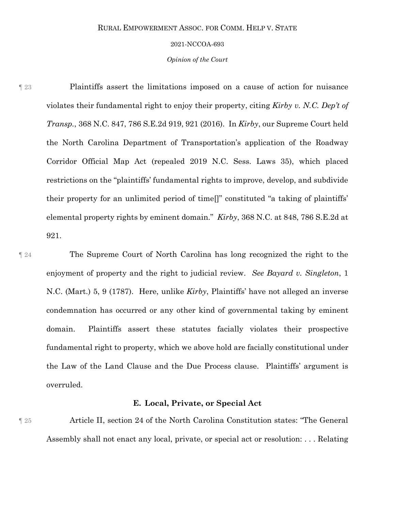#### 2021-NCCOA-693

### *Opinion of the Court*

¶ 23 Plaintiffs assert the limitations imposed on a cause of action for nuisance violates their fundamental right to enjoy their property, citing *Kirby v. N.C. Dep't of Transp.*, 368 N.C. 847, 786 S.E.2d 919, 921 (2016). In *Kirby*, our Supreme Court held the North Carolina Department of Transportation's application of the Roadway Corridor Official Map Act (repealed 2019 N.C. Sess. Laws 35), which placed restrictions on the "plaintiffs' fundamental rights to improve, develop, and subdivide their property for an unlimited period of time[]" constituted "a taking of plaintiffs' elemental property rights by eminent domain." *Kirby*, 368 N.C. at 848, 786 S.E.2d at 921.

¶ 24 The Supreme Court of North Carolina has long recognized the right to the enjoyment of property and the right to judicial review. *See Bayard v. Singleton*, 1 N.C. (Mart.) 5, 9 (1787).Here, unlike *Kirby*, Plaintiffs' have not alleged an inverse condemnation has occurred or any other kind of governmental taking by eminent domain. Plaintiffs assert these statutes facially violates their prospective fundamental right to property, which we above hold are facially constitutional under the Law of the Land Clause and the Due Process clause. Plaintiffs' argument is overruled.

## **E. Local, Private, or Special Act**

¶ 25 Article II, section 24 of the North Carolina Constitution states: "The General Assembly shall not enact any local, private, or special act or resolution: . . . Relating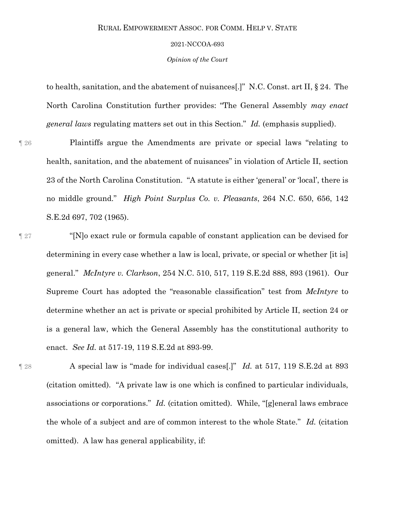#### 2021-NCCOA-693

*Opinion of the Court*

to health, sanitation, and the abatement of nuisances[.]" N.C. Const. art II, § 24. The North Carolina Constitution further provides: "The General Assembly *may enact general laws* regulating matters set out in this Section." *Id.* (emphasis supplied).

¶ 26 Plaintiffs argue the Amendments are private or special laws "relating to health, sanitation, and the abatement of nuisances" in violation of Article II, section 23 of the North Carolina Constitution. "A statute is either 'general' or 'local', there is no middle ground." *High Point Surplus Co. v. Pleasants*, 264 N.C. 650, 656, 142 S.E.2d 697, 702 (1965).

¶ 27 "[N]o exact rule or formula capable of constant application can be devised for determining in every case whether a law is local, private, or special or whether [it is] general." *McIntyre v. Clarkson*, 254 N.C. 510, 517, 119 S.E.2d 888, 893 (1961). Our Supreme Court has adopted the "reasonable classification" test from *McIntyre* to determine whether an act is private or special prohibited by Article II, section 24 or is a general law, which the General Assembly has the constitutional authority to enact. *See Id.* at 517-19, 119 S.E.2d at 893-99.

¶ 28 A special law is "made for individual cases[.]" *Id.* at 517, 119 S.E.2d at 893 (citation omitted). "A private law is one which is confined to particular individuals, associations or corporations." *Id.* (citation omitted). While, "[g]eneral laws embrace the whole of a subject and are of common interest to the whole State." *Id.* (citation omitted). A law has general applicability, if: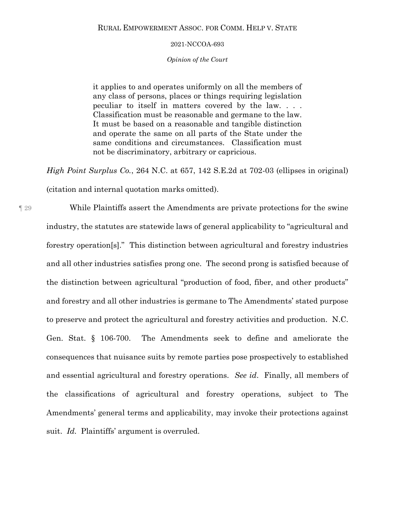### *Opinion of the Court*

it applies to and operates uniformly on all the members of any class of persons, places or things requiring legislation peculiar to itself in matters covered by the law. . . . Classification must be reasonable and germane to the law. It must be based on a reasonable and tangible distinction and operate the same on all parts of the State under the same conditions and circumstances. Classification must not be discriminatory, arbitrary or capricious.

*High Point Surplus Co.*, 264 N.C. at 657, 142 S.E.2d at 702-03 (ellipses in original) (citation and internal quotation marks omitted).

¶ 29 While Plaintiffs assert the Amendments are private protections for the swine industry, the statutes are statewide laws of general applicability to "agricultural and forestry operation[s]." This distinction between agricultural and forestry industries and all other industries satisfies prong one. The second prong is satisfied because of the distinction between agricultural "production of food, fiber, and other products" and forestry and all other industries is germane to The Amendments' stated purpose to preserve and protect the agricultural and forestry activities and production. N.C. Gen. Stat. § 106-700. The Amendments seek to define and ameliorate the consequences that nuisance suits by remote parties pose prospectively to established and essential agricultural and forestry operations. *See id*. Finally, all members of the classifications of agricultural and forestry operations, subject to The Amendments' general terms and applicability, may invoke their protections against suit. *Id.* Plaintiffs' argument is overruled.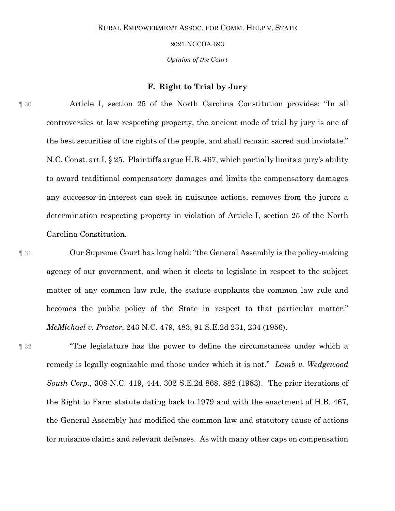*Opinion of the Court*

## **F. Right to Trial by Jury**

¶ 30 Article I, section 25 of the North Carolina Constitution provides: "In all controversies at law respecting property, the ancient mode of trial by jury is one of the best securities of the rights of the people, and shall remain sacred and inviolate." N.C. Const. art I, § 25. Plaintiffs argue H.B. 467, which partially limits a jury's ability to award traditional compensatory damages and limits the compensatory damages any successor-in-interest can seek in nuisance actions, removes from the jurors a determination respecting property in violation of Article I, section 25 of the North Carolina Constitution.

¶ 31 Our Supreme Court has long held: "the General Assembly is the policy-making agency of our government, and when it elects to legislate in respect to the subject matter of any common law rule, the statute supplants the common law rule and becomes the public policy of the State in respect to that particular matter." *McMichael v. Proctor*, 243 N.C. 479, 483, 91 S.E.2d 231, 234 (1956).

¶ 32 "The legislature has the power to define the circumstances under which a remedy is legally cognizable and those under which it is not." *Lamb v. Wedgewood South Corp.*, 308 N.C. 419, 444, 302 S.E.2d 868, 882 (1983). The prior iterations of the Right to Farm statute dating back to 1979 and with the enactment of H.B. 467, the General Assembly has modified the common law and statutory cause of actions for nuisance claims and relevant defenses. As with many other caps on compensation